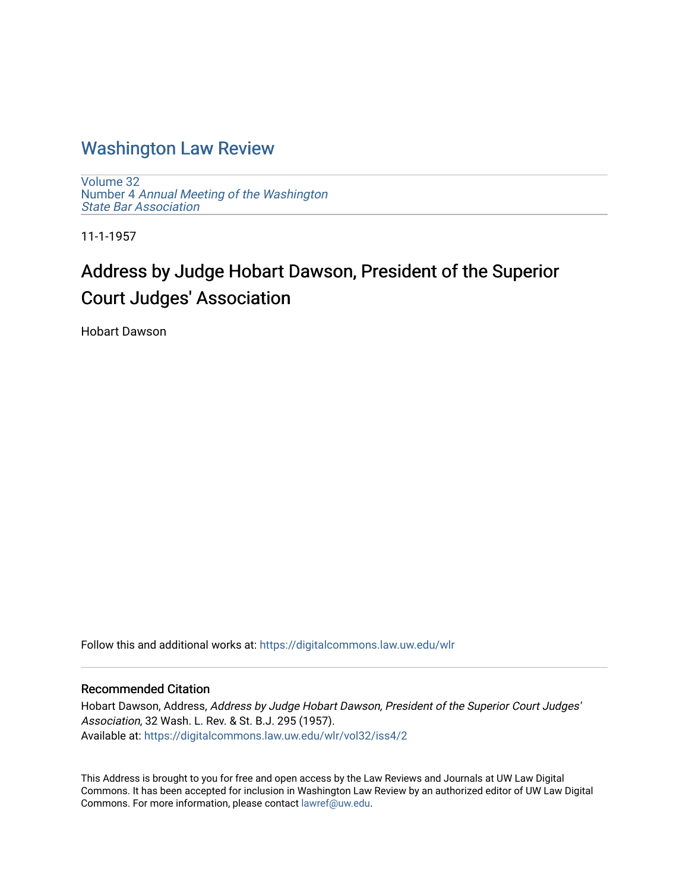## [Washington Law Review](https://digitalcommons.law.uw.edu/wlr)

[Volume 32](https://digitalcommons.law.uw.edu/wlr/vol32) Number 4 [Annual Meeting of the Washington](https://digitalcommons.law.uw.edu/wlr/vol32/iss4) [State Bar Association](https://digitalcommons.law.uw.edu/wlr/vol32/iss4)

11-1-1957

# Address by Judge Hobart Dawson, President of the Superior Court Judges' Association

Hobart Dawson

Follow this and additional works at: [https://digitalcommons.law.uw.edu/wlr](https://digitalcommons.law.uw.edu/wlr?utm_source=digitalcommons.law.uw.edu%2Fwlr%2Fvol32%2Fiss4%2F2&utm_medium=PDF&utm_campaign=PDFCoverPages)

### Recommended Citation

Hobart Dawson, Address, Address by Judge Hobart Dawson, President of the Superior Court Judges' Association, 32 Wash. L. Rev. & St. B.J. 295 (1957). Available at: [https://digitalcommons.law.uw.edu/wlr/vol32/iss4/2](https://digitalcommons.law.uw.edu/wlr/vol32/iss4/2?utm_source=digitalcommons.law.uw.edu%2Fwlr%2Fvol32%2Fiss4%2F2&utm_medium=PDF&utm_campaign=PDFCoverPages)

This Address is brought to you for free and open access by the Law Reviews and Journals at UW Law Digital Commons. It has been accepted for inclusion in Washington Law Review by an authorized editor of UW Law Digital Commons. For more information, please contact [lawref@uw.edu](mailto:lawref@uw.edu).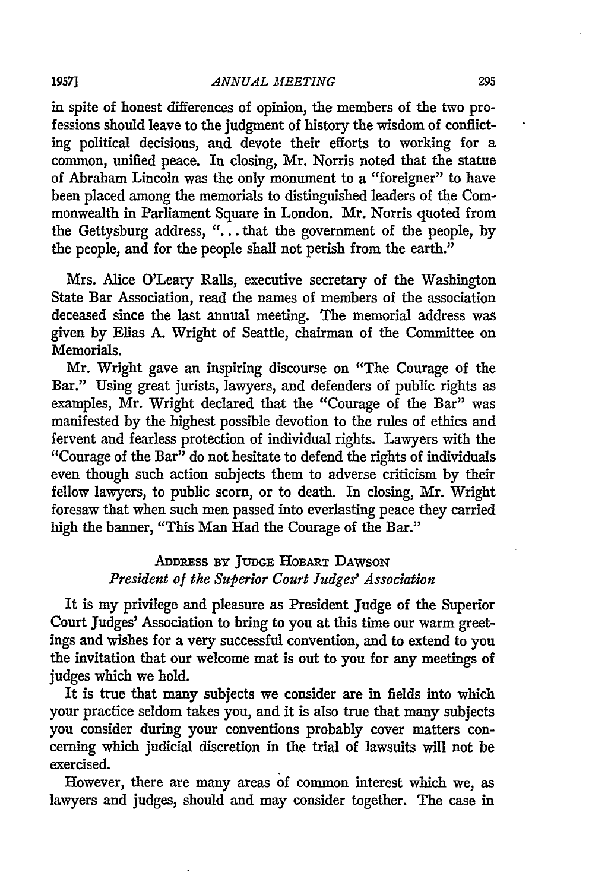#### *ANNUAL MEETING*

in spite of honest differences of opinion, the members of the two professions should leave to the judgment of history the wisdom of conflicting political decisions, and devote their efforts to working for a common, unified peace. In closing, Mr. Norris noted that the statue of Abraham Lincoln was the only monument to a "foreigner" to have been placed among the memorials to distinguished leaders of the Commonwealth in Parliament Square in London. Mr. Norris quoted from the Gettysburg address, **"...** that the government of the people, by the people, and for the people shall not perish from the earth."

Mrs. Alice O'Leary Rails, executive secretary of the Washington State Bar Association, read the names of members of the association deceased since the last annual meeting. The memorial address was given by Elias A. Wright of Seattle, chairman of the Committee on Memorials.

Mr. Wright gave an inspiring discourse on "The Courage of the Bar." Using great jurists, lawyers, and defenders of public rights as examples, Mr. Wright declared that the "Courage of the Bar" was manifested by the highest possible devotion to the rules of ethics and fervent and fearless protection of individual rights. Lawyers with the "Courage of the Bar" do not hesitate to defend the rights of individuals even though such action subjects them to adverse criticism by their fellow lawyers, to public scorn, or to death. In closing, Mr. Wright foresaw that when such men passed into everlasting peace they carried high the banner, "This Man Had the Courage of the Bar."

## ADDREss **BY** JUDGE **HOBART DAWSON** *President of the Superior Court Judges' Association*

It is my privilege and pleasure as President Judge of the Superior Court Judges' Association to bring to you at this time our warm greetings and wishes for a very successful convention, and to extend to you the invitation that our welcome mat is out to you for any meetings of judges which we hold.

It is true that many subjects we consider are in fields into which your practice seldom takes you, and it is also true that many subjects you consider during your conventions probably cover matters concerning which judicial discretion in the trial of lawsuits will not be exercised.

However, there are many areas of common interest which we, as lawyers and judges, should and may consider together. The case in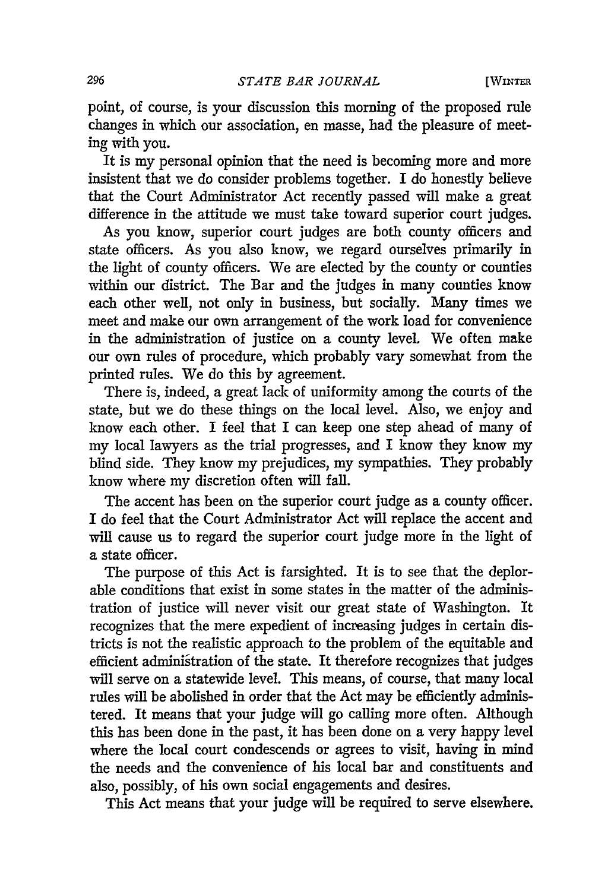[WINTER

point, of course, is your discussion this morning of the proposed rule changes in which our association, en masse, had the pleasure of meeting with you.

It is my personal opinion that the need is becoming more and more insistent that we do consider problems together. I do honestly believe that the Court Administrator Act recently passed will make a great difference in the attitude we must take toward superior court judges.

As you know, superior court judges are both county officers and state officers. As you also know, we regard ourselves primarily in the light of county officers. We are elected by the county or counties within our district. The Bar and the judges in many counties know each other well, not only in business, but socially. Many times we meet and make our own arrangement of the work load for convenience in the administration of justice on a county level. We often make our own rules of procedure, which probably vary somewhat from the printed rules. We do this by agreement.

There is, indeed, a great lack of uniformity among the courts of the state, but we do these things on the local level. Also, we enjoy and know each other. I feel that I can keep one step ahead of many of my local lawyers as the trial progresses, and I know they know my blind side. They know my prejudices, my sympathies. They probably know where my discretion often will fall.

The accent has been on the superior court judge as a county officer. I do feel that the Court Administrator Act will replace the accent and will cause us to regard the superior court judge more in the light of a state officer.

The purpose of this Act is farsighted. It is to see that the deplorable conditions that exist in some states in the matter of the administration of justice will never visit our great state of Washington. It recognizes that the mere expedient of increasing judges in certain districts is not the realistic approach to the problem of the equitable and efficient administration of the state. It therefore recognizes that judges will serve on a statewide level. This means, of course, that many local rules will be abolished in order that the Act may be efficiently administered. It means that your judge will go calling more often. Although this has been done in the past, it has been done on a very happy level where the local court condescends or agrees to visit, having in mind the needs and the convenience of his local bar and constituents and also, possibly, of his own social engagements and desires.

This Act means that your judge will be required to serve elsewhere.